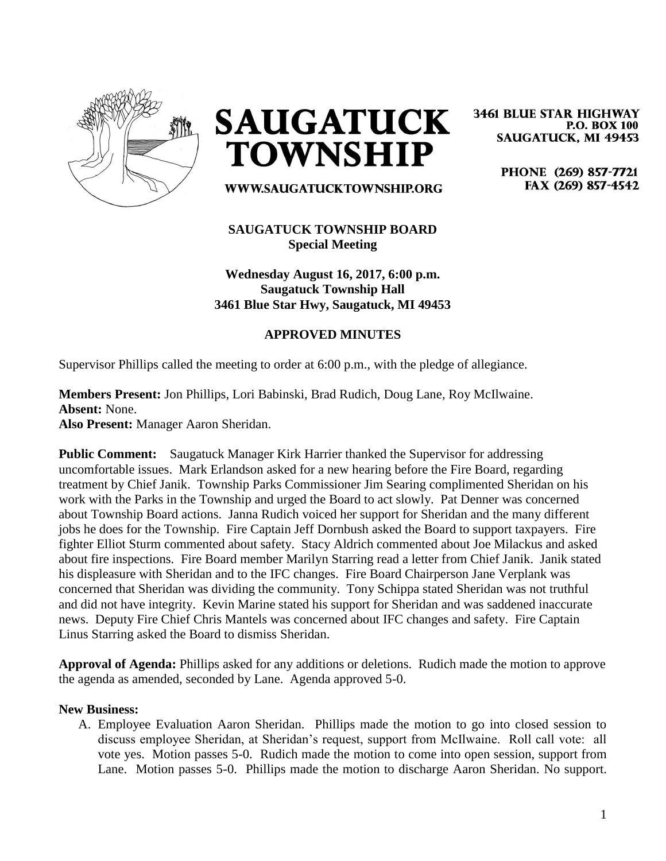

**SAUGATUCK TOWNSHIP** 

WWW.SAUGATUCKTOWNSHIP.ORG

## **SAUGATUCK TOWNSHIP BOARD Special Meeting**

**Wednesday August 16, 2017, 6:00 p.m. Saugatuck Township Hall 3461 Blue Star Hwy, Saugatuck, MI 49453**

## **APPROVED MINUTES**

Supervisor Phillips called the meeting to order at 6:00 p.m., with the pledge of allegiance.

**Members Present:** Jon Phillips, Lori Babinski, Brad Rudich, Doug Lane, Roy McIlwaine. **Absent:** None. **Also Present:** Manager Aaron Sheridan.

**Public Comment:** Saugatuck Manager Kirk Harrier thanked the Supervisor for addressing uncomfortable issues. Mark Erlandson asked for a new hearing before the Fire Board, regarding treatment by Chief Janik. Township Parks Commissioner Jim Searing complimented Sheridan on his work with the Parks in the Township and urged the Board to act slowly. Pat Denner was concerned about Township Board actions. Janna Rudich voiced her support for Sheridan and the many different jobs he does for the Township. Fire Captain Jeff Dornbush asked the Board to support taxpayers. Fire fighter Elliot Sturm commented about safety. Stacy Aldrich commented about Joe Milackus and asked about fire inspections. Fire Board member Marilyn Starring read a letter from Chief Janik. Janik stated his displeasure with Sheridan and to the IFC changes. Fire Board Chairperson Jane Verplank was concerned that Sheridan was dividing the community. Tony Schippa stated Sheridan was not truthful and did not have integrity. Kevin Marine stated his support for Sheridan and was saddened inaccurate news. Deputy Fire Chief Chris Mantels was concerned about IFC changes and safety. Fire Captain Linus Starring asked the Board to dismiss Sheridan.

**Approval of Agenda:** Phillips asked for any additions or deletions. Rudich made the motion to approve the agenda as amended, seconded by Lane. Agenda approved 5-0.

## **New Business:**

A. Employee Evaluation Aaron Sheridan. Phillips made the motion to go into closed session to discuss employee Sheridan, at Sheridan's request, support from McIlwaine. Roll call vote: all vote yes. Motion passes 5-0. Rudich made the motion to come into open session, support from Lane. Motion passes 5-0. Phillips made the motion to discharge Aaron Sheridan. No support.

**3461 BLUE STAR HIGHWAY P.O. BOX 100 SAUGATUCK, MI 49453** 

> PHONE (269) 857-7721 FAX (269) 857-4542